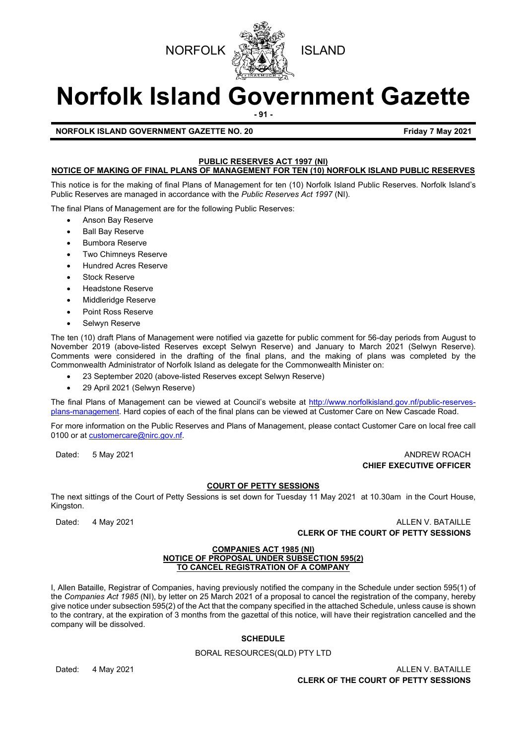



# **Norfolk Island Government Gazette**

**- 91 -**

**NORFOLK ISLAND GOVERNMENT GAZETTE NO. 20 FRIDAY 1998 121 SET ASSESSED FRIDAY 7 May 2021** 

# **PUBLIC RESERVES ACT 1997 (NI)**

# **NOTICE OF MAKING OF FINAL PLANS OF MANAGEMENT FOR TEN (10) NORFOLK ISLAND PUBLIC RESERVES**

This notice is for the making of final Plans of Management for ten (10) Norfolk Island Public Reserves. Norfolk Island's Public Reserves are managed in accordance with the *Public Reserves Act 1997* (NI).

The final Plans of Management are for the following Public Reserves:

- Anson Bay Reserve
- Ball Bay Reserve
- Bumbora Reserve
- Two Chimneys Reserve
- Hundred Acres Reserve
- Stock Reserve
- Headstone Reserve
- Middleridge Reserve
- Point Ross Reserve
- Selwyn Reserve

The ten (10) draft Plans of Management were notified via gazette for public comment for 56-day periods from August to November 2019 (above-listed Reserves except Selwyn Reserve) and January to March 2021 (Selwyn Reserve). Comments were considered in the drafting of the final plans, and the making of plans was completed by the Commonwealth Administrator of Norfolk Island as delegate for the Commonwealth Minister on:

- 23 September 2020 (above-listed Reserves except Selwyn Reserve)
- 29 April 2021 (Selwyn Reserve)

The final Plans of Management can be viewed at Council's website at [http://www.norfolkisland.gov.nf/public-reserves](http://www.norfolkisland.gov.nf/public-reserves-plans-management)[plans-management.](http://www.norfolkisland.gov.nf/public-reserves-plans-management) Hard copies of each of the final plans can be viewed at Customer Care on New Cascade Road.

For more information on the Public Reserves and Plans of Management, please contact Customer Care on local free call 0100 or a[t customercare@nirc.gov.nf.](mailto:customercare@nirc.gov.nf)

#### Dated: 5 May 2021 ANDREW ROACH **CHIEF EXECUTIVE OFFICER**

#### **COURT OF PETTY SESSIONS**

The next sittings of the Court of Petty Sessions is set down for Tuesday 11 May 2021 at 10.30am in the Court House, Kingston.

Dated: 4 May 2021 **ALLEN V. BATAILLE CLERK OF THE COURT OF PETTY SESSIONS**

#### **COMPANIES ACT 1985 (NI) NOTICE OF PROPOSAL UNDER SUBSECTION 595(2) TO CANCEL REGISTRATION OF A COMPANY**

I, Allen Bataille, Registrar of Companies, having previously notified the company in the Schedule under section 595(1) of the *Companies Act 1985* (NI), by letter on 25 March 2021 of a proposal to cancel the registration of the company, hereby give notice under subsection 595(2) of the Act that the company specified in the attached Schedule, unless cause is shown to the contrary, at the expiration of 3 months from the gazettal of this notice, will have their registration cancelled and the company will be dissolved.

# **SCHEDULE**

## BORAL RESOURCES(QLD) PTY LTD

## Dated: 4 May 2021 **ALLEN V. BATAILLE CLERK OF THE COURT OF PETTY SESSIONS**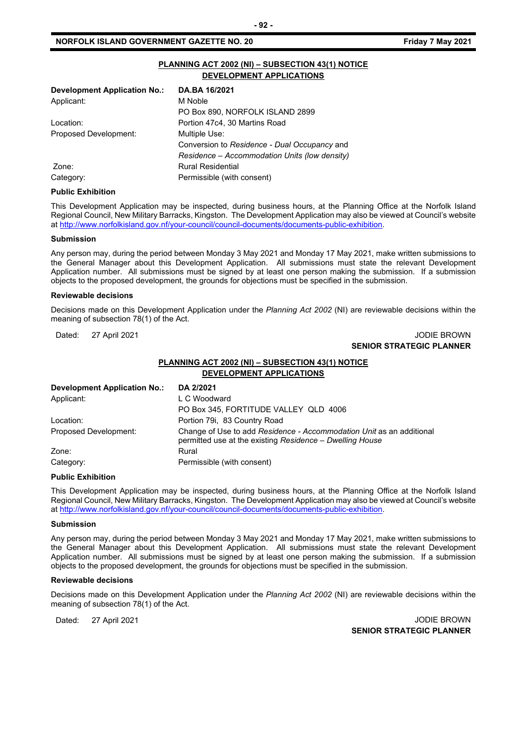|                                     | PLANNING ACT 2002 (NI) - SUBSECTION 43(1) NOTICE<br><b>DEVELOPMENT APPLICATIONS</b> |
|-------------------------------------|-------------------------------------------------------------------------------------|
| <b>Development Application No.:</b> | DA.BA 16/2021                                                                       |
| Applicant:                          | M Noble                                                                             |
|                                     | PO Box 890, NORFOLK ISLAND 2899                                                     |
| Location:                           | Portion 47c4, 30 Martins Road                                                       |
| Proposed Development:               | Multiple Use:                                                                       |
|                                     | Conversion to Residence - Dual Occupancy and                                        |
|                                     | Residence – Accommodation Units (low density)                                       |
| Zone:                               | <b>Rural Residential</b>                                                            |
| Category:                           | Permissible (with consent)                                                          |

#### **Public Exhibition**

This Development Application may be inspected, during business hours, at the Planning Office at the Norfolk Island Regional Council, New Military Barracks, Kingston. The Development Application may also be viewed at Council's website a[t http://www.norfolkisland.gov.nf/your-council/council-documents/documents-public-exhibition.](http://www.norfolkisland.gov.nf/your-council/council-documents/documents-public-exhibition)

#### **Submission**

Any person may, during the period between Monday 3 May 2021 and Monday 17 May 2021, make written submissions to the General Manager about this Development Application. All submissions must state the relevant Development Application number. All submissions must be signed by at least one person making the submission. If a submission objects to the proposed development, the grounds for objections must be specified in the submission.

#### **Reviewable decisions**

Decisions made on this Development Application under the *Planning Act 2002* (NI) are reviewable decisions within the meaning of subsection 78(1) of the Act.

Dated: 27 April 2021 **Dated: 27 April 2021** 

# **SENIOR STRATEGIC PLANNER**

# **PLANNING ACT 2002 (NI) – SUBSECTION 43(1) NOTICE DEVELOPMENT APPLICATIONS**

| <b>Development Application No.:</b> | DA 2/2021                                                                                                                        |
|-------------------------------------|----------------------------------------------------------------------------------------------------------------------------------|
| Applicant:                          | L C Woodward                                                                                                                     |
|                                     | PO Box 345, FORTITUDE VALLEY QLD 4006                                                                                            |
| Location:                           | Portion 79i, 83 Country Road                                                                                                     |
| Proposed Development:               | Change of Use to add Residence - Accommodation Unit as an additional<br>permitted use at the existing Residence – Dwelling House |
| Zone:                               | Rural                                                                                                                            |
| Category:                           | Permissible (with consent)                                                                                                       |

#### **Public Exhibition**

This Development Application may be inspected, during business hours, at the Planning Office at the Norfolk Island Regional Council, New Military Barracks, Kingston. The Development Application may also be viewed at Council's website a[t http://www.norfolkisland.gov.nf/your-council/council-documents/documents-public-exhibition.](http://www.norfolkisland.gov.nf/your-council/council-documents/documents-public-exhibition)

#### **Submission**

Any person may, during the period between Monday 3 May 2021 and Monday 17 May 2021, make written submissions to the General Manager about this Development Application. All submissions must state the relevant Development Application number. All submissions must be signed by at least one person making the submission. If a submission objects to the proposed development, the grounds for objections must be specified in the submission.

#### **Reviewable decisions**

Decisions made on this Development Application under the *Planning Act 2002* (NI) are reviewable decisions within the meaning of subsection 78(1) of the Act.

Dated: 27 April 2021 **Dates:** 27 April 2021 **SENIOR STRATEGIC PLANNER**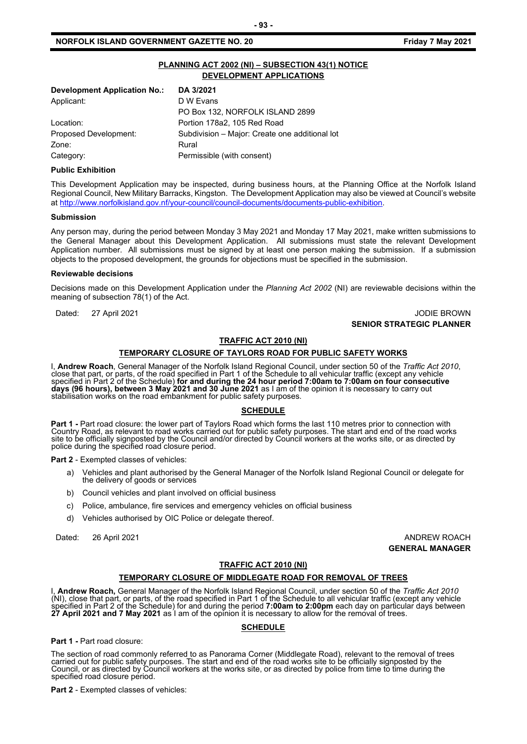# **PLANNING ACT 2002 (NI) – SUBSECTION 43(1) NOTICE DEVELOPMENT APPLICATIONS**

| DA 3/2021                                      |
|------------------------------------------------|
| D W Evans                                      |
| PO Box 132, NORFOLK ISLAND 2899                |
| Portion 178a2, 105 Red Road                    |
| Subdivision - Major: Create one additional lot |
| Rural                                          |
| Permissible (with consent)                     |
|                                                |

# **Public Exhibition**

This Development Application may be inspected, during business hours, at the Planning Office at the Norfolk Island Regional Council, New Military Barracks, Kingston. The Development Application may also be viewed at Council's website a[t http://www.norfolkisland.gov.nf/your-council/council-documents/documents-public-exhibition.](http://www.norfolkisland.gov.nf/your-council/council-documents/documents-public-exhibition)

#### **Submission**

Any person may, during the period between Monday 3 May 2021 and Monday 17 May 2021, make written submissions to the General Manager about this Development Application. All submissions must state the relevant Development Application number. All submissions must be signed by at least one person making the submission. If a submission objects to the proposed development, the grounds for objections must be specified in the submission.

#### **Reviewable decisions**

Decisions made on this Development Application under the *Planning Act 2002* (NI) are reviewable decisions within the meaning of subsection 78(1) of the Act.

Dated: 27 April 2021 JODIE BROWN **SENIOR STRATEGIC PLANNER** 

# **TRAFFIC ACT 2010 (NI)**

# **TEMPORARY CLOSURE OF TAYLORS ROAD FOR PUBLIC SAFETY WORKS**

I, **Andrew Roach**, General Manager of the Norfolk Island Regional Council, under section 50 of the *Traffic Act 2010*,<br>close that part, or parts, of the road specified in Part 1 of the Schedule to all vehicular traffic (ex specified in Part 2 of the Schedule) **for and during the 24 hour period 7:00am to 7:00am on four consecutive days (96 hours), between 3 May 2021 and 30 June 2021** as I am of the opinion it is necessary to carry out<br>stabilisation works on the road embankment for public safety purposes.

#### **SCHEDULE**

Part 1 - Part road closure: the lower part of Taylors Road which forms the last 110 metres prior to connection with<br>Country Road, as relevant to road works carried out for public safety purposes. The start and end of the r site to be officially signposted by the Council and/or directed by Council workers at the works site, or as directed by police during the specified road closure period.

**Part 2** - Exempted classes of vehicles:

- a) Vehicles and plant authorised by the General Manager of the Norfolk Island Regional Council or delegate for the delivery of goods or services
- b) Council vehicles and plant involved on official business
- c) Police, ambulance, fire services and emergency vehicles on official business
- d) Vehicles authorised by OIC Police or delegate thereof.

Dated: 26 April 2021 **ANDREW ROACH** 

**GENERAL MANAGER**

# **TRAFFIC ACT 2010 (NI)**

#### **TEMPORARY CLOSURE OF MIDDLEGATE ROAD FOR REMOVAL OF TREES**

I, **Andrew Roach,** General Manager of the Norfolk Island Regional Council, under section 50 of the *Traffic Act 2010* (NI), close that part, or parts, of the road specified in Part 1 of the Schedule to all vehicular traffic (except any vehicle specified in Part 2 of the Schedule) for and during the period **7:00am to 2:00pm** each day on particular days between **27 April 2021 and 7 May 2021** as I am of the opinion it is necessary to allow for the removal of trees.

#### **SCHEDULE**

**Part 1 -** Part road closure:

The section of road commonly referred to as Panorama Corner (Middlegate Road), relevant to the removal of trees carried out for public safety purposes. The start and end of the road works site to be officially signposted by the<br>Council, or as directed by Council workers at the works site, or as directed by police from time to time d specified road closure period.

**Part 2** - Exempted classes of vehicles: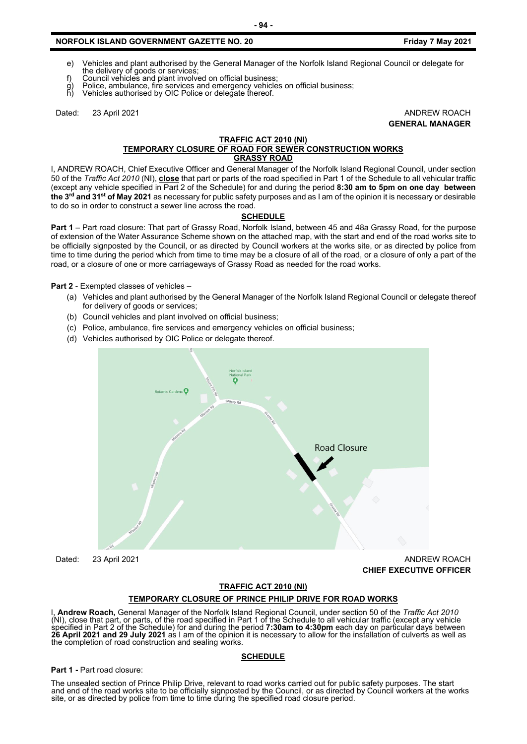- e) Vehicles and plant authorised by the General Manager of the Norfolk Island Regional Council or delegate for the delivery of goods or services;
- f) Council vehicles and plant involved on official business;
- g) Police, ambulance, fire services and emergency vehicles on official business;
- Vehicles authorised by OIC Police or delegate thereof.

Dated: 23 April 2021 **ANDREW ROACH GENERAL MANAGER**

#### **TRAFFIC ACT 2010 (NI) TEMPORARY CLOSURE OF ROAD FOR SEWER CONSTRUCTION WORKS GRASSY ROAD**

I, ANDREW ROACH, Chief Executive Officer and General Manager of the Norfolk Island Regional Council, under section 50 of the *Traffic Act 2010* (NI), **close** that part or parts of the road specified in Part 1 of the Schedule to all vehicular traffic (except any vehicle specified in Part 2 of the Schedule) for and during the period **8:30 am to 5pm on one day between the 3rd and 31st of May 2021** as necessary for public safety purposes and as I am of the opinion it is necessary or desirable to do so in order to construct a sewer line across the road.

# **SCHEDULE**

**Part 1** – Part road closure: That part of Grassy Road, Norfolk Island, between 45 and 48a Grassy Road, for the purpose of extension of the Water Assurance Scheme shown on the attached map, with the start and end of the road works site to be officially signposted by the Council, or as directed by Council workers at the works site, or as directed by police from time to time during the period which from time to time may be a closure of all of the road, or a closure of only a part of the road, or a closure of one or more carriageways of Grassy Road as needed for the road works.

**Part 2** - Exempted classes of vehicles –

- (a) Vehicles and plant authorised by the General Manager of the Norfolk Island Regional Council or delegate thereof for delivery of goods or services;
- (b) Council vehicles and plant involved on official business;
- (c) Police, ambulance, fire services and emergency vehicles on official business;
- (d) Vehicles authorised by OIC Police or delegate thereof.



Dated: 23 April 2021 **ANDREW ROACH CHIEF EXECUTIVE OFFICER** 

#### **TRAFFIC ACT 2010 (NI)**

#### **TEMPORARY CLOSURE OF PRINCE PHILIP DRIVE FOR ROAD WORKS**

I, **Andrew Roach,** General Manager of the Norfolk Island Regional Council, under section 50 of the *Traffic Act 2010* (NI), close that part, or parts, of the road specified in Part 1 of the Schedule to all vehicular traffic (except any vehicle specified in Part 2 of the Schedule) for and during the period **7:30am to 4:30pm** each day on particular days between **26 April 2021 and 29 July 2021** as I am of the opinion it is necessary to allow for the installation of culverts as well as the completion of road construction and sealing works.

#### **SCHEDULE**

#### **Part 1 -** Part road closure:

The unsealed section of Prince Philip Drive, relevant to road works carried out for public safety purposes. The start<br>and end of the road works site to be officially signposted by the Council, or as directed by Council wor

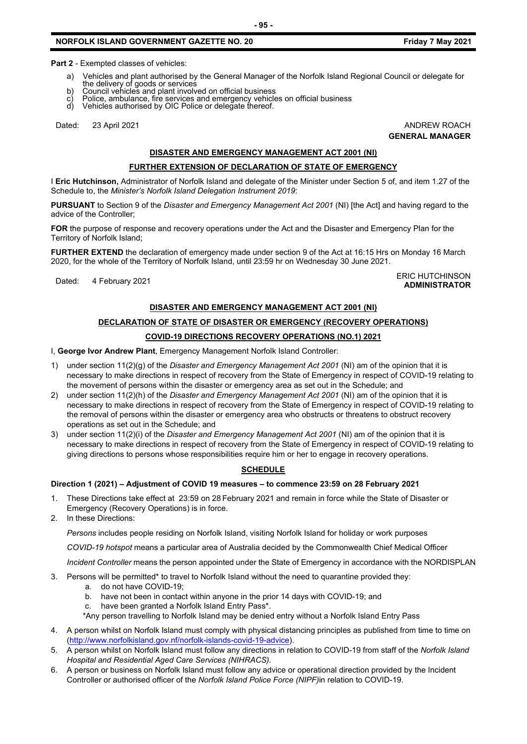**Part 2** - Exempted classes of vehicles:

- a) Vehicles and plant authorised by the General Manager of the Norfolk Island Regional Council or delegate for the delivery of goods or services
- 
- b) Council vehicles and plant involved on official business<br>c) Police, ambulance, fire services and emergency vehicle<br>d) Vehicles authorised by OIC Police or delegate thereof. c) Police, ambulance, fire services and emergency vehicles on official business
- d) Vehicles authorised by OIC Police or delegate thereof.

Dated: 23 April 2021 **ANDREW ROACH** 

**GENERAL MANAGER**

# **DISASTER AND EMERGENCY MANAGEMENT ACT 2001 (NI)**

# **FURTHER EXTENSION OF DECLARATION OF STATE OF EMERGENCY**

I **Eric Hutchinson,** Administrator of Norfolk Island and delegate of the Minister under Section 5 of, and item 1.27 of the Schedule to, the *Minister's Norfolk Island Delegation Instrument 2019*:

**PURSUANT** to Section 9 of the *Disaster and Emergency Management Act 2001* (NI) [the Act] and having regard to the advice of the Controller;

**FOR** the purpose of response and recovery operations under the Act and the Disaster and Emergency Plan for the Territory of Norfolk Island;

**FURTHER EXTEND** the declaration of emergency made under section 9 of the Act at 16:15 Hrs on Monday 16 March 2020, for the whole of the Territory of Norfolk Island, until 23:59 hr on Wednesday 30 June 2021.

Dated: 4 February 2021<br>Dated: 4 February 2021 **ADMINISTRATOR**

# **DISASTER AND EMERGENCY MANAGEMENT ACT 2001 (NI)**

# **DECLARATION OF STATE OF DISASTER OR EMERGENCY (RECOVERY OPERATIONS)**

# **COVID-19 DIRECTIONS RECOVERY OPERATIONS (NO.1) 2021**

I, **George Ivor Andrew Plant**, Emergency Management Norfolk Island Controller:

- 1) under section 11(2)(g) of the *Disaster and Emergency Management Act 2001* (NI) am of the opinion that it is necessary to make directions in respect of recovery from the State of Emergency in respect of COVID-19 relating to the movement of persons within the disaster or emergency area as set out in the Schedule; and
- 2) under section 11(2)(h) of the *Disaster and Emergency Management Act 2001* (NI) am of the opinion that it is necessary to make directions in respect of recovery from the State of Emergency in respect of COVID-19 relating to the removal of persons within the disaster or emergency area who obstructs or threatens to obstruct recovery operations as set out in the Schedule; and
- 3) under section 11(2)(i) of the *Disaster and Emergency Management Act 2001* (NI) am of the opinion that it is necessary to make directions in respect of recovery from the State of Emergency in respect of COVID-19 relating to giving directions to persons whose responsibilities require him or her to engage in recovery operations.

# **SCHEDULE**

#### **Direction 1 (2021) – Adjustment of COVID 19 measures – to commence 23:59 on 28 February 2021**

- 1. These Directions take effect at 23:59 on 28 February 2021 and remain in force while the State of Disaster or Emergency (Recovery Operations) is in force.
- 2. In these Directions:

*Persons* includes people residing on Norfolk Island, visiting Norfolk Island for holiday or work purposes

*COVID-19 hotspot* means a particular area of Australia decided by the Commonwealth Chief Medical Officer

*Incident Controller* means the person appointed under the State of Emergency in accordance with the NORDISPLAN

- 3. Persons will be permitted\* to travel to Norfolk Island without the need to quarantine provided they:
	- a. do not have COVID-19;
	- b. have not been in contact within anyone in the prior 14 days with COVID-19; and
	- c. have been granted a Norfolk Island Entry Pass\*.
	- \*Any person travelling to Norfolk Island may be denied entry without a Norfolk Island Entry Pass
- 4. A person whilst on Norfolk Island must comply with physical distancing principles as published from time to time on [\(http://www.norfolkisland.gov.nf/norfolk-islands-covid-19-advice\)](http://www.norfolkisland.gov.nf/norfolk-islands-covid-19-advice).
- 5. A person whilst on Norfolk Island must follow any directions in relation to COVID-19 from staff of the *Norfolk Island Hospital and Residential Aged Care Services (NIHRACS).*
- 6. A person or business on Norfolk Island must follow any advice or operational direction provided by the Incident Controller or authorised officer of the *Norfolk Island Police Force (NIPF)*in relation to COVID-19.